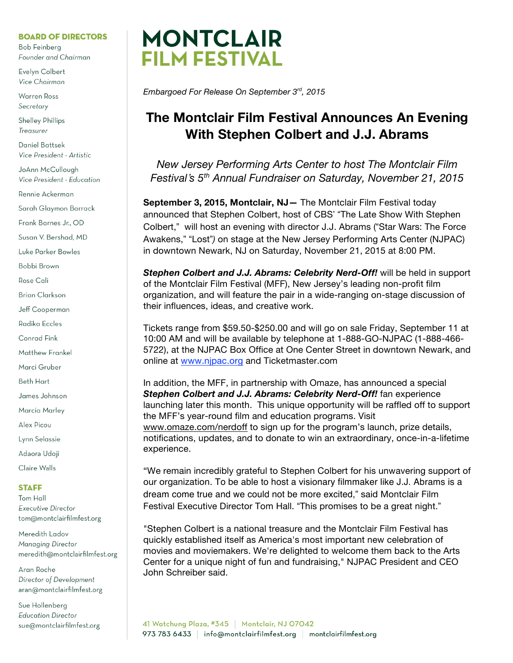#### **BOARD OF DIRECTORS**

**Bob Feinberg** Founder and Chairman

Evelyn Colbert Vice Chairman

**Warren Ross** Secretary

**Shelley Phillips** Treasurer

Daniel Battsek Vice President - Artistic

JoAnn McCullough Vice President - Education

Rennie Ackerman

Sarah Glaymon Barrack

Frank Barnes Jr., OD

Susan V. Bershad, MD

Luke Parker Bowles

Bobbi Brown

Rose Cali

**Brian Clarkson** 

Jeff Cooperman

Radika Eccles

Conrad Fink

**Matthew Frankel** 

Marci Gruber

**Beth Hart** 

James Johnson

Marcia Marley

Alex Picou

Lynn Selassie

Adaora Udoji

Claire Walls

#### **STAFF**

Tom Hall **Executive Director** tom@montclairfilmfest.org

Meredith Ladov Managing Director meredith@montclairfilmfest.org

Aran Roche Director of Development aran@montclairfilmfest.org

Sue Hollenberg **Education Director** sue@montclairfilmfest.org



Embargoed For Release On September 3rd, 2015

# The Montclair Film Festival Announces An Evening With Stephen Colbert and J.J. Abrams

New Jersey Performing Arts Center to host The Montclair Film Festival's 5<sup>th</sup> Annual Fundraiser on Saturday, November 21, 2015

September 3, 2015, Montclair, NJ- The Montclair Film Festival today announced that Stephen Colbert, host of CBS' "The Late Show With Stephen Colbert," will host an evening with director J.J. Abrams ("Star Wars: The Force Awakens," "Lost") on stage at the New Jersey Performing Arts Center (NJPAC) in downtown Newark, NJ on Saturday, November 21, 2015 at 8:00 PM.

Stephen Colbert and J.J. Abrams: Celebrity Nerd-Off! will be held in support of the Montclair Film Festival (MFF), New Jersey's leading non-profit film organization, and will feature the pair in a wide-ranging on-stage discussion of their influences, ideas, and creative work.

Tickets range from \$59.50-\$250.00 and will go on sale Friday, September 11 at 10:00 AM and will be available by telephone at 1-888-GO-NJPAC (1-888-466-5722), at the NJPAC Box Office at One Center Street in downtown Newark, and online at www.njpac.org and Ticketmaster.com

In addition, the MFF, in partnership with Omaze, has announced a special Stephen Colbert and J.J. Abrams: Celebrity Nerd-Off! fan experience launching later this month. This unique opportunity will be raffled off to support the MFF's year-round film and education programs. Visit www.omaze.com/nerdoff to sign up for the program's launch, prize details, notifications, updates, and to donate to win an extraordinary, once-in-a-lifetime experience.

"We remain incredibly grateful to Stephen Colbert for his unwavering support of our organization. To be able to host a visionary filmmaker like J.J. Abrams is a dream come true and we could not be more excited." said Montclair Film Festival Executive Director Tom Hall. "This promises to be a great night."

"Stephen Colbert is a national treasure and the Montclair Film Festival has quickly established itself as America's most important new celebration of movies and moviemakers. We're delighted to welcome them back to the Arts Center for a unique night of fun and fundraising," NJPAC President and CEO John Schreiber said.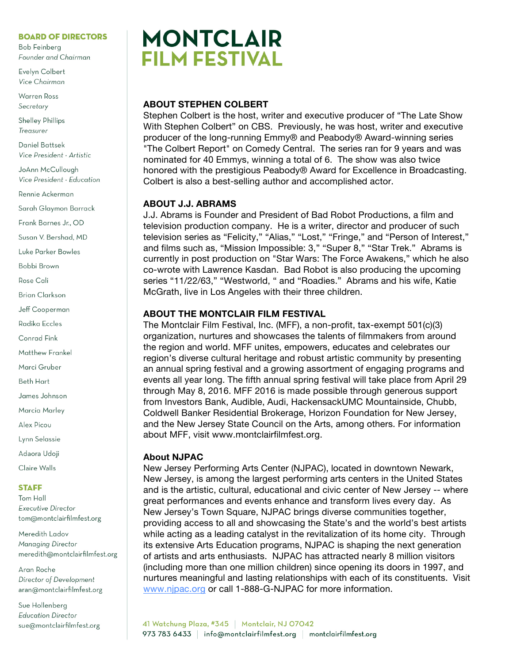## **BOARD OF DIRECTORS**

**Bob Feinberg** Founder and Chairman

Evelyn Colbert Vice Chairman

Warren Ross Secretary

**Shelley Phillips** Treasurer

Daniel Battsek Vice President - Artistic

JoAnn McCullough Vice President - Education

Rennie Ackerman

Sarah Glaymon Barrack

Frank Barnes Jr., OD

Susan V. Bershad, MD

Luke Parker Bowles

Bohhi Brown

Rose Cali

**Brian Clarkson** 

Jeff Cooperman

Radika Eccles

Conrad Fink

**Matthew Frankel** 

Marci Gruber

Beth Hart

James Johnson

Marcia Marley

Alex Picou

Lynn Selassie

Adaora Udoji

Claire Walls

#### **STAFF**

**Tom Hall Executive Director** tom@montclairfilmfest.org

Meredith Ladov Managing Director meredith@montclairfilmfest.org

Aran Roche Director of Development aran@montclairfilmfest.org

Sue Hollenberg **Education Director** sue@montclairfilmfest.org



## **ABOUT STEPHEN COLBERT**

Stephen Colbert is the host, writer and executive producer of "The Late Show With Stephen Colbert" on CBS. Previously, he was host, writer and executive producer of the long-running Emmy® and Peabody® Award-winning series "The Colbert Report" on Comedy Central. The series ran for 9 years and was nominated for 40 Emmys, winning a total of 6. The show was also twice honored with the prestigious Peabody® Award for Excellence in Broadcasting. Colbert is also a best-selling author and accomplished actor.

## **ABOUT J.J. ABRAMS**

J.J. Abrams is Founder and President of Bad Robot Productions, a film and television production company. He is a writer, director and producer of such television series as "Felicity," "Alias," "Lost," "Fringe," and "Person of Interest," and films such as, "Mission Impossible: 3," "Super 8," "Star Trek." Abrams is currently in post production on "Star Wars: The Force Awakens," which he also co-wrote with Lawrence Kasdan. Bad Robot is also producing the upcoming series "11/22/63," "Westworld, " and "Roadies." Abrams and his wife, Katie McGrath, live in Los Angeles with their three children.

## **ABOUT THE MONTCLAIR FILM FESTIVAL**

The Montclair Film Festival, Inc. (MFF), a non-profit, tax-exempt 501(c)(3) organization, nurtures and showcases the talents of filmmakers from around the region and world. MFF unites, empowers, educates and celebrates our region's diverse cultural heritage and robust artistic community by presenting an annual spring festival and a growing assortment of engaging programs and events all year long. The fifth annual spring festival will take place from April 29 through May 8, 2016. MFF 2016 is made possible through generous support from Investors Bank, Audible, Audi, HackensackUMC Mountainside, Chubb, Coldwell Banker Residential Brokerage, Horizon Foundation for New Jersey, and the New Jersey State Council on the Arts, among others. For information about MFF, visit www.montclairfilmfest.org.

## **About NJPAC**

New Jersey Performing Arts Center (NJPAC), located in downtown Newark, New Jersey, is among the largest performing arts centers in the United States and is the artistic, cultural, educational and civic center of New Jersey -- where great performances and events enhance and transform lives every day. As New Jersey's Town Square, NJPAC brings diverse communities together, providing access to all and showcasing the State's and the world's best artists while acting as a leading catalyst in the revitalization of its home city. Through its extensive Arts Education programs, NJPAC is shaping the next generation of artists and arts enthusiasts. NJPAC has attracted nearly 8 million visitors (including more than one million children) since opening its doors in 1997, and nurtures meaningful and lasting relationships with each of its constituents. Visit www.njpac.org or call 1-888-G-NJPAC for more information.